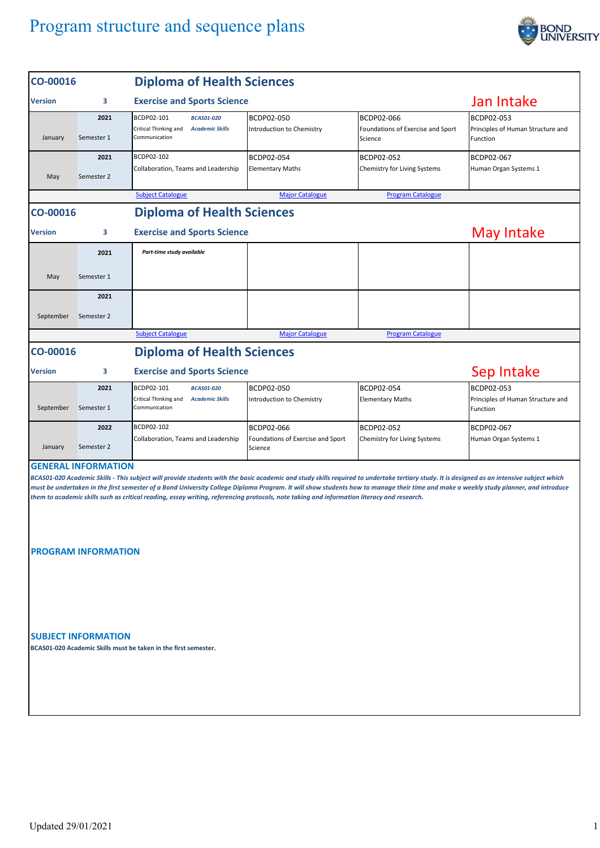## Program structure and sequence plans



| CO-00016       |                            | <b>Diploma of Health Sciences</b>                                                                                                                                                                                                                                                                                                                                                                                                                                                                                                 |                                              |                                                            |                                                             |  |  |  |
|----------------|----------------------------|-----------------------------------------------------------------------------------------------------------------------------------------------------------------------------------------------------------------------------------------------------------------------------------------------------------------------------------------------------------------------------------------------------------------------------------------------------------------------------------------------------------------------------------|----------------------------------------------|------------------------------------------------------------|-------------------------------------------------------------|--|--|--|
| <b>Version</b> | 3                          | <b>Exercise and Sports Science</b>                                                                                                                                                                                                                                                                                                                                                                                                                                                                                                | Jan Intake                                   |                                                            |                                                             |  |  |  |
| January        | 2021<br>Semester 1         | BCDP02-101<br><b>BCAS01-020</b><br>Critical Thinking and<br><b>Academic Skills</b><br>Communication                                                                                                                                                                                                                                                                                                                                                                                                                               | BCDP02-050<br>Introduction to Chemistry      | BCDP02-066<br>Foundations of Exercise and Sport<br>Science | BCDP02-053<br>Principles of Human Structure and<br>Function |  |  |  |
| May            | 2021<br>Semester 2         | BCDP02-102<br>Collaboration, Teams and Leadership                                                                                                                                                                                                                                                                                                                                                                                                                                                                                 | BCDP02-054<br><b>Elementary Maths</b>        | BCDP02-052<br>Chemistry for Living Systems                 | BCDP02-067<br>Human Organ Systems 1                         |  |  |  |
|                |                            | <b>Subject Catalogue</b>                                                                                                                                                                                                                                                                                                                                                                                                                                                                                                          | <b>Major Catalogue</b>                       | <b>Program Catalogue</b>                                   |                                                             |  |  |  |
| CO-00016       |                            | <b>Diploma of Health Sciences</b>                                                                                                                                                                                                                                                                                                                                                                                                                                                                                                 |                                              |                                                            |                                                             |  |  |  |
| <b>Version</b> | 3                          | <b>Exercise and Sports Science</b>                                                                                                                                                                                                                                                                                                                                                                                                                                                                                                | May Intake                                   |                                                            |                                                             |  |  |  |
|                | 2021                       | Part-time study available                                                                                                                                                                                                                                                                                                                                                                                                                                                                                                         |                                              |                                                            |                                                             |  |  |  |
| May            | Semester 1                 |                                                                                                                                                                                                                                                                                                                                                                                                                                                                                                                                   |                                              |                                                            |                                                             |  |  |  |
|                | 2021                       |                                                                                                                                                                                                                                                                                                                                                                                                                                                                                                                                   |                                              |                                                            |                                                             |  |  |  |
| September      | Semester 2                 |                                                                                                                                                                                                                                                                                                                                                                                                                                                                                                                                   |                                              |                                                            |                                                             |  |  |  |
|                |                            | <b>Subject Catalogue</b>                                                                                                                                                                                                                                                                                                                                                                                                                                                                                                          | <b>Major Catalogue</b>                       | <b>Program Catalogue</b>                                   |                                                             |  |  |  |
| CO-00016       |                            | <b>Diploma of Health Sciences</b>                                                                                                                                                                                                                                                                                                                                                                                                                                                                                                 |                                              |                                                            |                                                             |  |  |  |
| <b>Version</b> | 3                          | <b>Exercise and Sports Science</b>                                                                                                                                                                                                                                                                                                                                                                                                                                                                                                | Sep Intake                                   |                                                            |                                                             |  |  |  |
| September      | 2021<br>Semester 1         | BCDP02-101<br><b>BCAS01-020</b><br>Critical Thinking and<br><b>Academic Skills</b><br>Communication                                                                                                                                                                                                                                                                                                                                                                                                                               | BCDP02-050<br>Introduction to Chemistry      | BCDP02-054<br><b>Elementary Maths</b>                      | BCDP02-053<br>Principles of Human Structure and<br>Function |  |  |  |
|                | 2022                       | BCDP02-102                                                                                                                                                                                                                                                                                                                                                                                                                                                                                                                        | BCDP02-066                                   | BCDP02-052                                                 | BCDP02-067                                                  |  |  |  |
| January        | Semester 2                 | Collaboration, Teams and Leadership                                                                                                                                                                                                                                                                                                                                                                                                                                                                                               | Foundations of Exercise and Sport<br>Science | Chemistry for Living Systems                               | Human Organ Systems 1                                       |  |  |  |
|                | <b>GENERAL INFORMATION</b> | BCAS01-020 Academic Skills - This subject will provide students with the basic academic and study skills required to undertake tertiary study. It is designed as an intensive subject which<br>must be undertaken in the first semester of a Bond University College Diploma Program. It will show students how to manage their time and make a weekly study planner, and introduce<br>them to academic skills such as critical reading, essay writing, referencing protocols, note taking and information literacy and research. |                                              |                                                            |                                                             |  |  |  |
|                | <b>PROGRAM INFORMATION</b> |                                                                                                                                                                                                                                                                                                                                                                                                                                                                                                                                   |                                              |                                                            |                                                             |  |  |  |
|                | <b>SUBJECT INFORMATION</b> | BCAS01-020 Academic Skills must be taken in the first semester.                                                                                                                                                                                                                                                                                                                                                                                                                                                                   |                                              |                                                            |                                                             |  |  |  |